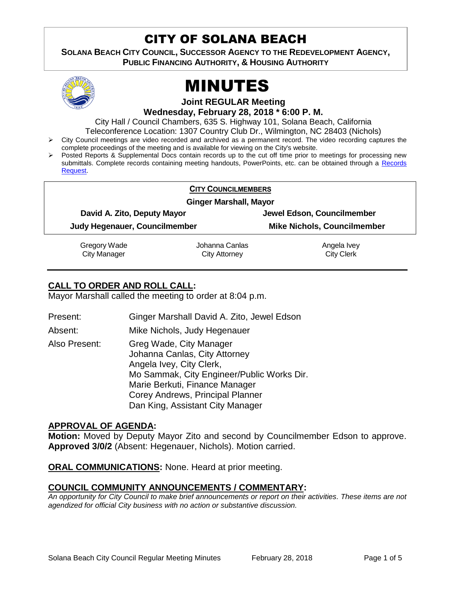# CITY OF SOLANA BEACH

**SOLANA BEACH CITY COUNCIL, SUCCESSOR AGENCY TO THE REDEVELOPMENT AGENCY, PUBLIC FINANCING AUTHORITY, & HOUSING AUTHORITY** 



# MINUTES

**Joint REGULAR Meeting**

**Wednesday, February 28, 2018 \* 6:00 P. M.** 

City Hall / Council Chambers, 635 S. Highway 101, Solana Beach, California Teleconference Location: 1307 Country Club Dr., Wilmington, NC 28403 (Nichols)

- City Council meetings are video recorded and archived as a permanent record. The video recording captures the complete proceedings of the meeting and is available for viewing on the City's website.
- Posted Reports & Supplemental Docs contain records up to the cut off time prior to meetings for processing new submittals. Complete records containing meeting handouts, PowerPoints, etc. can be obtained through a Records [Request.](http://www.ci.solana-beach.ca.us/index.asp?SEC=F5D45D10-70CE-4291-A27C-7BD633FC6742&Type=B_BASIC)

|                               | <b>CITY COUNCILMEMBERS</b>    |                      |                                    |  |
|-------------------------------|-------------------------------|----------------------|------------------------------------|--|
| <b>Ginger Marshall, Mayor</b> |                               |                      |                                    |  |
|                               | David A. Zito, Deputy Mayor   |                      | Jewel Edson, Councilmember         |  |
|                               | Judy Hegenauer, Councilmember |                      | <b>Mike Nichols, Councilmember</b> |  |
|                               | Gregory Wade                  | Johanna Canlas       | Angela Ivey                        |  |
|                               | <b>City Manager</b>           | <b>City Attorney</b> | <b>City Clerk</b>                  |  |

# **CALL TO ORDER AND ROLL CALL:**

Mayor Marshall called the meeting to order at 8:04 p.m.

Present: Ginger Marshall David A. Zito, Jewel Edson Absent: Mike Nichols, Judy Hegenauer Also Present: Greg Wade, City Manager Johanna Canlas, City Attorney Angela Ivey, City Clerk, Mo Sammak, City Engineer/Public Works Dir. Marie Berkuti, Finance Manager Corey Andrews, Principal Planner Dan King, Assistant City Manager

# **APPROVAL OF AGENDA:**

**Motion:** Moved by Deputy Mayor Zito and second by Councilmember Edson to approve. **Approved 3/0/2** (Absent: Hegenauer, Nichols). Motion carried.

**ORAL COMMUNICATIONS:** None. Heard at prior meeting.

# **COUNCIL COMMUNITY ANNOUNCEMENTS / COMMENTARY:**

*An opportunity for City Council to make brief announcements or report on their activities. These items are not agendized for official City business with no action or substantive discussion.*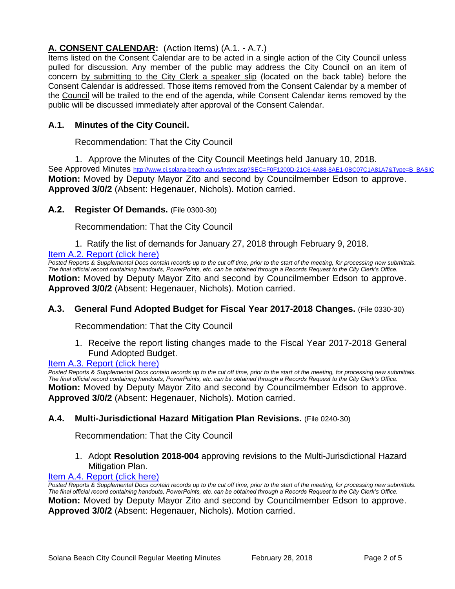# **A. CONSENT CALENDAR:** (Action Items) (A.1. - A.7.)

Items listed on the Consent Calendar are to be acted in a single action of the City Council unless pulled for discussion. Any member of the public may address the City Council on an item of concern by submitting to the City Clerk a speaker slip (located on the back table) before the Consent Calendar is addressed. Those items removed from the Consent Calendar by a member of the Council will be trailed to the end of the agenda, while Consent Calendar items removed by the public will be discussed immediately after approval of the Consent Calendar.

# **A.1. Minutes of the City Council.**

Recommendation: That the City Council

1. Approve the Minutes of the City Council Meetings held January 10, 2018. See Approved Minutes [http://www.ci.solana-beach.ca.us/index.asp?SEC=F0F1200D-21C6-4A88-8AE1-0BC07C1A81A7&Type=B\\_BASIC](http://www.ci.solana-beach.ca.us/index.asp?SEC=F0F1200D-21C6-4A88-8AE1-0BC07C1A81A7&Type=B_BASIC) **Motion:** Moved by Deputy Mayor Zito and second by Councilmember Edson to approve. **Approved 3/0/2** (Absent: Hegenauer, Nichols). Motion carried.

# **A.2. Register Of Demands.** (File 0300-30)

Recommendation: That the City Council

1. Ratify the list of demands for January 27, 2018 through February 9, 2018.

[Item A.2. Report \(click here\)](https://solanabeach.govoffice3.com/vertical/Sites/%7B840804C2-F869-4904-9AE3-720581350CE7%7D/uploads/Item_A.2._Report_(click_here)_-_02-28-18.pdf)

*Posted Reports & Supplemental Docs contain records up to the cut off time, prior to the start of the meeting, for processing new submittals. The final official record containing handouts, PowerPoints, etc. can be obtained through a Records Request to the City Clerk's Office.* **Motion:** Moved by Deputy Mayor Zito and second by Councilmember Edson to approve. **Approved 3/0/2** (Absent: Hegenauer, Nichols). Motion carried.

# **A.3. General Fund Adopted Budget for Fiscal Year 2017-2018 Changes.** (File 0330-30)

Recommendation: That the City Council

1. Receive the report listing changes made to the Fiscal Year 2017-2018 General Fund Adopted Budget.

# [Item A.3. Report \(click here\)](https://solanabeach.govoffice3.com/vertical/Sites/%7B840804C2-F869-4904-9AE3-720581350CE7%7D/uploads/Item_A.3._Report_(click_here)_-_02-28-18.PDF)

**Posted Reports & Supplemental Docs contain records up to the cut off time, prior to the start of the meeting, for processing new submittals.** *The final official record containing handouts, PowerPoints, etc. can be obtained through a Records Request to the City Clerk's Office.* **Motion:** Moved by Deputy Mayor Zito and second by Councilmember Edson to approve. **Approved 3/0/2** (Absent: Hegenauer, Nichols). Motion carried.

# **A.4. Multi-Jurisdictional Hazard Mitigation Plan Revisions.** (File 0240-30)

Recommendation: That the City Council

1. Adopt **Resolution 2018-004** approving revisions to the Multi-Jurisdictional Hazard Mitigation Plan.

# [Item A.4. Report \(click here\)](https://solanabeach.govoffice3.com/vertical/Sites/%7B840804C2-F869-4904-9AE3-720581350CE7%7D/uploads/Item_A.4._Report_(click_here)_-_02-28-18.PDF)

*Posted Reports & Supplemental Docs contain records up to the cut off time, prior to the start of the meeting, for processing new submittals. The final official record containing handouts, PowerPoints, etc. can be obtained through a Records Request to the City Clerk's Office.* **Motion:** Moved by Deputy Mayor Zito and second by Councilmember Edson to approve. **Approved 3/0/2** (Absent: Hegenauer, Nichols). Motion carried.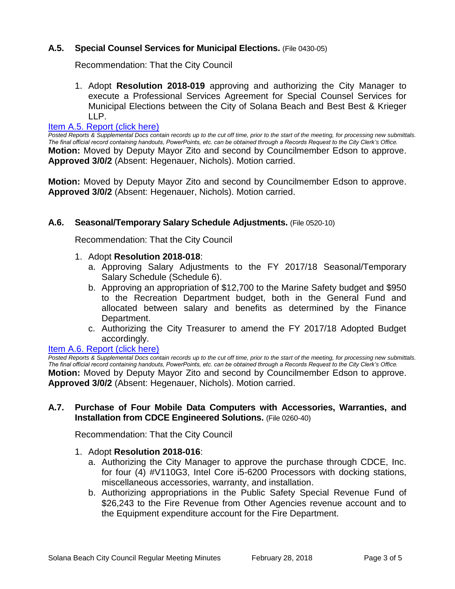# **A.5. Special Counsel Services for Municipal Elections.** (File 0430-05)

Recommendation: That the City Council

1. Adopt **Resolution 2018-019** approving and authorizing the City Manager to execute a Professional Services Agreement for Special Counsel Services for Municipal Elections between the City of Solana Beach and Best Best & Krieger  $\mathsf{LP}$ .

#### [Item A.5. Report \(click here\)](https://solanabeach.govoffice3.com/vertical/Sites/%7B840804C2-F869-4904-9AE3-720581350CE7%7D/uploads/Item_A.5._Report_(click_here)_-_02-28-18.PDF)

*Posted Reports & Supplemental Docs contain records up to the cut off time, prior to the start of the meeting, for processing new submittals. The final official record containing handouts, PowerPoints, etc. can be obtained through a Records Request to the City Clerk's Office.* **Motion:** Moved by Deputy Mayor Zito and second by Councilmember Edson to approve. **Approved 3/0/2** (Absent: Hegenauer, Nichols). Motion carried.

**Motion:** Moved by Deputy Mayor Zito and second by Councilmember Edson to approve. **Approved 3/0/2** (Absent: Hegenauer, Nichols). Motion carried.

#### **A.6. Seasonal/Temporary Salary Schedule Adjustments.** (File 0520-10)

Recommendation: That the City Council

#### 1. Adopt **Resolution 2018-018**:

- a. Approving Salary Adjustments to the FY 2017/18 Seasonal/Temporary Salary Schedule (Schedule 6).
- b. Approving an appropriation of \$12,700 to the Marine Safety budget and \$950 to the Recreation Department budget, both in the General Fund and allocated between salary and benefits as determined by the Finance Department.
- c. Authorizing the City Treasurer to amend the FY 2017/18 Adopted Budget accordingly.

#### [Item A.6. Report \(click here\)](https://solanabeach.govoffice3.com/vertical/Sites/%7B840804C2-F869-4904-9AE3-720581350CE7%7D/uploads/Item_A.6._Report_(click_here)_-_02-28-18.PDF)

*Posted Reports & Supplemental Docs contain records up to the cut off time, prior to the start of the meeting, for processing new submittals. The final official record containing handouts, PowerPoints, etc. can be obtained through a Records Request to the City Clerk's Office.* **Motion:** Moved by Deputy Mayor Zito and second by Councilmember Edson to approve. **Approved 3/0/2** (Absent: Hegenauer, Nichols). Motion carried.

#### **A.7. Purchase of Four Mobile Data Computers with Accessories, Warranties, and Installation from CDCE Engineered Solutions.** (File 0260-40)

Recommendation: That the City Council

#### 1. Adopt **Resolution 2018-016**:

- a. Authorizing the City Manager to approve the purchase through CDCE, Inc. for four (4) #V110G3, Intel Core i5-6200 Processors with docking stations, miscellaneous accessories, warranty, and installation.
- b. Authorizing appropriations in the Public Safety Special Revenue Fund of \$26,243 to the Fire Revenue from Other Agencies revenue account and to the Equipment expenditure account for the Fire Department.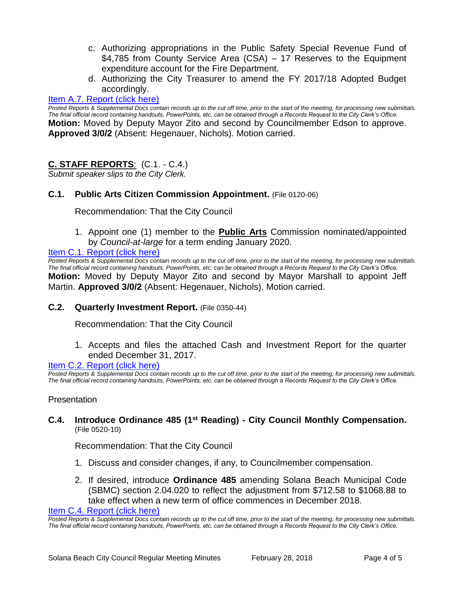- c. Authorizing appropriations in the Public Safety Special Revenue Fund of \$4,785 from County Service Area (CSA) – 17 Reserves to the Equipment expenditure account for the Fire Department.
- d. Authorizing the City Treasurer to amend the FY 2017/18 Adopted Budget accordingly.

# [Item A.7. Report \(click here\)](https://solanabeach.govoffice3.com/vertical/Sites/%7B840804C2-F869-4904-9AE3-720581350CE7%7D/uploads/Item_A.7._Report_(click_here)_-_02-28-18.PDF)

*Posted Reports & Supplemental Docs contain records up to the cut off time, prior to the start of the meeting, for processing new submittals. The final official record containing handouts, PowerPoints, etc. can be obtained through a Records Request to the City Clerk's Office.*

**Motion:** Moved by Deputy Mayor Zito and second by Councilmember Edson to approve. **Approved 3/0/2** (Absent: Hegenauer, Nichols). Motion carried.

# **C. STAFF REPORTS**: (C.1. - C.4.)

*Submit speaker slips to the City Clerk.*

#### **C.1. Public Arts Citizen Commission Appointment.** (File 0120-06)

Recommendation: That the City Council

1. Appoint one (1) member to the **Public Arts** Commission nominated/appointed by *Council-at-large* for a term ending January 2020.

[Item C.1. Report \(click here\)](https://solanabeach.govoffice3.com/vertical/Sites/%7B840804C2-F869-4904-9AE3-720581350CE7%7D/uploads/Item_C.1._Report_(click_here)_-_02-28-18.PDF)

*Posted Reports & Supplemental Docs contain records up to the cut off time, prior to the start of the meeting, for processing new submittals. The final official record containing handouts, PowerPoints, etc. can be obtained through a Records Request to the City Clerk's Office.* **Motion:** Moved by Deputy Mayor Zito and second by Mayor Marshall to appoint Jeff Martin. **Approved 3/0/2** (Absent: Hegenauer, Nichols). Motion carried.

#### **C.2. Quarterly Investment Report.** (File 0350-44)

Recommendation: That the City Council

1. Accepts and files the attached Cash and Investment Report for the quarter ended December 31, 2017.

#### [Item C.2. Report \(click here\)](https://solanabeach.govoffice3.com/vertical/Sites/%7B840804C2-F869-4904-9AE3-720581350CE7%7D/uploads/Item_C.2._Report_(click_here)_-_02-08-18.PDF)

*Posted Reports & Supplemental Docs contain records up to the cut off time, prior to the start of the meeting, for processing new submittals. The final official record containing handouts, PowerPoints, etc. can be obtained through a Records Request to the City Clerk's Office.*

#### **Presentation**

**C.4. Introduce Ordinance 485 (1st Reading) - City Council Monthly Compensation.** (File 0520-10)

Recommendation: That the City Council

- 1. Discuss and consider changes, if any, to Councilmember compensation.
- 2. If desired, introduce **Ordinance 485** amending Solana Beach Municipal Code (SBMC) section 2.04.020 to reflect the adjustment from \$712.58 to \$1068.88 to take effect when a new term of office commences in December 2018.

[Item C.4. Report \(click here\)](https://solanabeach.govoffice3.com/vertical/Sites/%7B840804C2-F869-4904-9AE3-720581350CE7%7D/uploads/Item_C.4._Report_(click_here)_-_02-28-18.PDF)

*Posted Reports & Supplemental Docs contain records up to the cut off time, prior to the start of the meeting, for processing new submittals. The final official record containing handouts, PowerPoints, etc. can be obtained through a Records Request to the City Clerk's Office.*